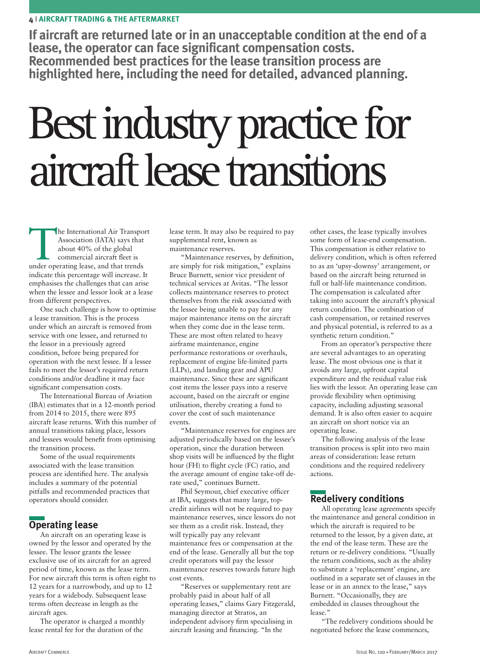**If aircraft are returned late or in an unacceptable condition at the end of a** lease, the operator can face significant compensation costs.<br>Recommended best practices for the lease transition process are **highlighted here, including the need for detailed, advanced planning.**

# Best industry practice for aircraft lease transitions

The International Air Transport<br>
Association (IATA) says that<br>
about 40% of the global<br>
commercial aircraft fleet is<br>
under operating lease, and that trends Association (IATA) says that about 40% of the global commercial aircraft fleet is indicate this percentage will increase. It emphasises the challenges that can arise when the lessee and lessor look at a lease from different perspectives.

One such challenge is how to optimise a lease transition. This is the process under which an aircraft is removed from service with one lessee, and returned to the lessor in a previously agreed condition, before being prepared for operation with the next lessee. If a lessee fails to meet the lessor's required return conditions and/or deadline it may face significant compensation costs.

The International Bureau of Aviation (IBA) estimates that in a 12-month period from 2014 to 2015, there were 895 aircraft lease returns. With this number of annual transitions taking place, lessors and lessees would benefit from optimising the transition process.

Some of the usual requirements associated with the lease transition process are identified here. The analysis includes a summary of the potential pitfalls and recommended practices that operators should consider.

# **Operating lease**

An aircraft on an operating lease is owned by the lessor and operated by the lessee. The lessor grants the lessee exclusive use of its aircraft for an agreed period of time, known as the lease term. For new aircraft this term is often eight to 12 years for a narrowbody, and up to 12 years for a widebody. Subsequent lease terms often decrease in length as the aircraft ages.

The operator is charged a monthly lease rental fee for the duration of the

lease term. It may also be required to pay supplemental rent, known as maintenance reserves.

"Maintenance reserves, by definition, are simply for risk mitigation," explains Bruce Burnett, senior vice president of technical services at Avitas. "The lessor collects maintenance reserves to protect themselves from the risk associated with the lessee being unable to pay for any major maintenance items on the aircraft when they come due in the lease term. These are most often related to heavy airframe maintenance, engine performance restorations or overhauls, replacement of engine life-limited parts (LLPs), and landing gear and APU maintenance. Since these are significant cost items the lessee pays into a reserve account, based on the aircraft or engine utilisation, thereby creating a fund to cover the cost of such maintenance events.

"Maintenance reserves for engines are adjusted periodically based on the lessee's operation, since the duration between shop visits will be influenced by the flight hour (FH) to flight cycle (FC) ratio, and the average amount of engine take-off derate used," continues Burnett.

Phil Seymour, chief executive officer at IBA, suggests that many large, topcredit airlines will not be required to pay maintenance reserves, since lessors do not see them as a credit risk. Instead, they will typically pay any relevant maintenance fees or compensation at the end of the lease. Generally all but the top credit operators will pay the lessor maintenance reserves towards future high cost events.

"Reserves or supplementary rent are probably paid in about half of all operating leases," claims Gary Fitzgerald, managing director at Stratos, an independent advisory firm specialising in aircraft leasing and financing. "In the

other cases, the lease typically involves some form of lease-end compensation. This compensation is either relative to delivery condition, which is often referred to as an 'upsy-downsy' arrangement, or based on the aircraft being returned in full or half-life maintenance condition. The compensation is calculated after taking into account the aircraft's physical return condition. The combination of cash compensation, or retained reserves and physical potential, is referred to as a synthetic return condition."

From an operator's perspective there are several advantages to an operating lease. The most obvious one is that it avoids any large, upfront capital expenditure and the residual value risk lies with the lessor. An operating lease can provide flexibility when optimising capacity, including adjusting seasonal demand. It is also often easier to acquire an aircraft on short notice via an operating lease.

The following analysis of the lease transition process is split into two main areas of consideration: lease return conditions and the required redelivery actions.

# **Redelivery conditions**

All operating lease agreements specify the maintenance and general condition in which the aircraft is required to be returned to the lessor, by a given date, at the end of the lease term. These are the return or re-delivery conditions. "Usually the return conditions, such as the ability to substitute a 'replacement' engine, are outlined in a separate set of clauses in the lease or in an annex to the lease," says Burnett. "Occasionally, they are embedded in clauses throughout the lease."

"The redelivery conditions should be negotiated before the lease commences,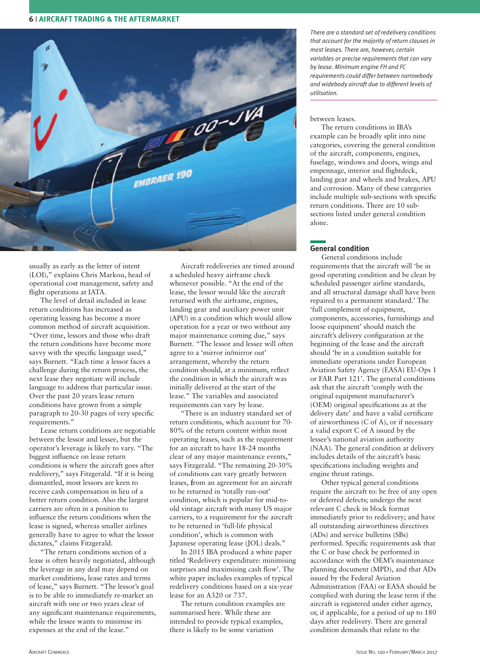

usually as early as the letter of intent (LOI)," explains Chris Markou, head of operational cost management, safety and flight operations at IATA.

The level of detail included in lease return conditions has increased as operating leasing has become a more common method of aircraft acquisition. "Over time, lessors and those who draft the return conditions have become more savvy with the specific language used," says Burnett. "Each time a lessor faces a challenge during the return process, the next lease they negotiate will include language to address that particular issue. Over the past 20 years lease return conditions have grown from a simple paragraph to 20-30 pages of very specific requirements."

Lease return conditions are negotiable between the lessor and lessee, but the operator's leverage is likely to vary. "The biggest influence on lease return conditions is where the aircraft goes after redelivery," says Fitzgerald. "If it is being dismantled, most lessors are keen to receive cash compensation in lieu of a better return condition. Also the largest carriers are often in a position to influence the return conditions when the lease is signed, whereas smaller airlines generally have to agree to what the lessor dictates," claims Fitzgerald.

"The return conditions section of a lease is often heavily negotiated, although the leverage in any deal may depend on market conditions, lease rates and terms of lease," says Burnett. "The lessor's goal is to be able to immediately re-market an aircraft with one or two years clear of any significant maintenance requirements, while the lessee wants to minimise its expenses at the end of the lease."

Aircraft redeliveries are timed around a scheduled heavy airframe check whenever possible. "At the end of the lease, the lessor would like the aircraft returned with the airframe, engines, landing gear and auxiliary power unit (APU) in a condition which would allow operation for a year or two without any major maintenance coming due," says Burnett. "The lessor and lessee will often agree to a 'mirror in/mirror out' arrangement, whereby the return condition should, at a minimum, reflect the condition in which the aircraft was initially delivered at the start of the lease." The variables and associated requirements can vary by lease.

"There is an industry standard set of return conditions, which account for 70- 80% of the return content within most operating leases, such as the requirement for an aircraft to have 18-24 months clear of any major maintenance events," says Fitzgerald. "The remaining 20-30% of conditions can vary greatly between leases, from an agreement for an aircraft to be returned in 'totally run-out' condition, which is popular for mid-toold vintage aircraft with many US major carriers, to a requirement for the aircraft to be returned in 'full-life physical condition', which is common with Japanese operating lease (JOL) deals."

In 2015 IBA produced a white paper titled 'Redelivery expenditure: minimising surprises and maximising cash flow'. The white paper includes examples of typical redelivery conditions based on a six-year lease for an A320 or 737.

The return condition examples are summarised here. While these are intended to provide typical examples, there is likely to be some variation

*There are a standard set of redelivery conditions that account for the majority of return clauses in most leases. There are, however, certain variables or precise requirements that can vary by lease. Minimum engine FH and FC requirements could differ between narrowbody and widebody aircraft due to different levels of utilisation.*

#### between leases.

The return conditions in IBA's example can be broadly split into nine categories, covering the general condition of the aircraft, components, engines, fuselage, windows and doors, wings and empennage, interior and flightdeck, landing gear and wheels and brakes, APU and corrosion. Many of these categories include multiple sub-sections with specific return conditions. There are 10 subsections listed under general condition alone.

## **General condition**

General conditions include requirements that the aircraft will 'be in good operating condition and be clean by scheduled passenger airline standards, and all structural damage shall have been repaired to a permanent standard.' The 'full complement of equipment, components, accessories, furnishings and loose equipment' should match the aircraft's delivery configuration at the beginning of the lease and the aircraft should 'be in a condition suitable for immediate operations under European Aviation Safety Agency (EASA) EU-Ops 1 or FAR Part 121'. The general conditions ask that the aircraft 'comply with the original equipment manufacturer's (OEM) original specifications as at the delivery date' and have a valid certificate of airworthiness (C of A), or if necessary a valid export C of A issued by the lessee's national aviation authority (NAA). The general condition at delivery includes details of the aircraft's basic specifications including weights and engine thrust ratings.

Other typical general conditions require the aircraft to: be free of any open or deferred defects; undergo the next relevant C check in block format immediately prior to redelivery; and have all outstanding airworthiness directives (ADs) and service bulletins (SBs) performed. Specific requirements ask that the C or base check be performed in accordance with the OEM's maintenance planning document (MPD), and that ADs issued by the Federal Aviation Administration (FAA) or EASA should be complied with during the lease term if the aircraft is registered under either agency, or, if applicable, for a period of up to 180 days after redelivery. There are general condition demands that relate to the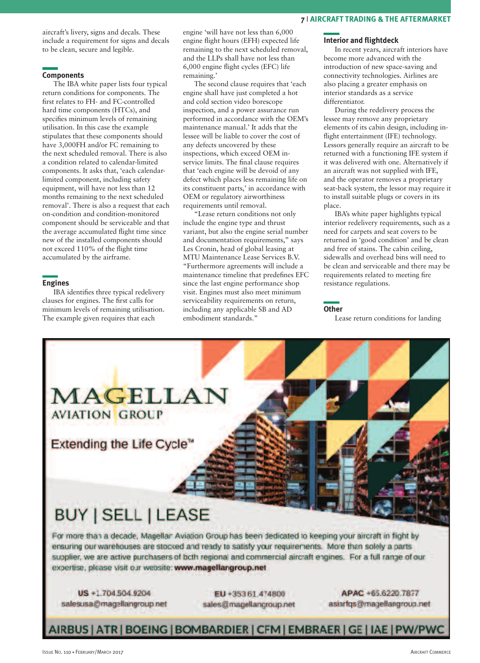aircraft's livery, signs and decals. These include a requirement for signs and decals to be clean, secure and legible.

## **Components**

The IBA white paper lists four typical return conditions for components. The first relates to FH- and FC-controlled hard time components (HTCs), and specifies minimum levels of remaining utilisation. In this case the example stipulates that these components should have 3,000FH and/or FC remaining to the next scheduled removal. There is also a condition related to calendar-limited components. It asks that, 'each calendarlimited component, including safety equipment, will have not less than 12 months remaining to the next scheduled removal'. There is also a request that each on-condition and condition-monitored component should be serviceable and that the average accumulated flight time since new of the installed components should not exceed 110% of the flight time accumulated by the airframe.

## **Engines**

IBA identifies three typical redelivery clauses for engines. The first calls for minimum levels of remaining utilisation. The example given requires that each

engine 'will have not less than 6,000 engine flight hours (EFH) expected life remaining to the next scheduled removal, and the LLPs shall have not less than 6,000 engine flight cycles (EFC) life remaining.'

The second clause requires that 'each engine shall have just completed a hot and cold section video borescope inspection, and a power assurance run performed in accordance with the OEM's maintenance manual.' It adds that the lessee will be liable to cover the cost of any defects uncovered by these inspections, which exceed OEM inservice limits. The final clause requires that 'each engine will be devoid of any defect which places less remaining life on its constituent parts,' in accordance with OEM or regulatory airworthiness requirements until removal.

"Lease return conditions not only include the engine type and thrust variant, but also the engine serial number and documentation requirements," says Les Cronin, head of global leasing at MTU Maintenance Lease Services B.V. "Furthermore agreements will include a maintenance timeline that predefines EFC since the last engine performance shop visit. Engines must also meet minimum serviceability requirements on return, including any applicable SB and AD embodiment standards."

## **Interior and flightdeck**

In recent years, aircraft interiors have become more advanced with the introduction of new space-saving and connectivity technologies. Airlines are also placing a greater emphasis on interior standards as a service differentiator.

During the redelivery process the lessee may remove any proprietary elements of its cabin design, including inflight entertainment (IFE) technology. Lessors generally require an aircraft to be returned with a functioning IFE system if it was delivered with one. Alternatively if an aircraft was not supplied with IFE, and the operator removes a proprietary seat-back system, the lessor may require it to install suitable plugs or covers in its place.

IBA's white paper highlights typical interior redelivery requirements, such as a need for carpets and seat covers to be returned in 'good condition' and be clean and free of stains. The cabin ceiling, sidewalls and overhead bins will need to be clean and serviceable and there may be requirements related to meeting fire resistance regulations.

#### **Other**

Lease return conditions for landing



salesusa@magellangroup.net

sales@magellangroup.net

asiartgs@magellangroup.net

# AIRBUS | ATR | BOEING | BOMBARDIER | CFM | EMBRAER | GE | IAE | PW/PWC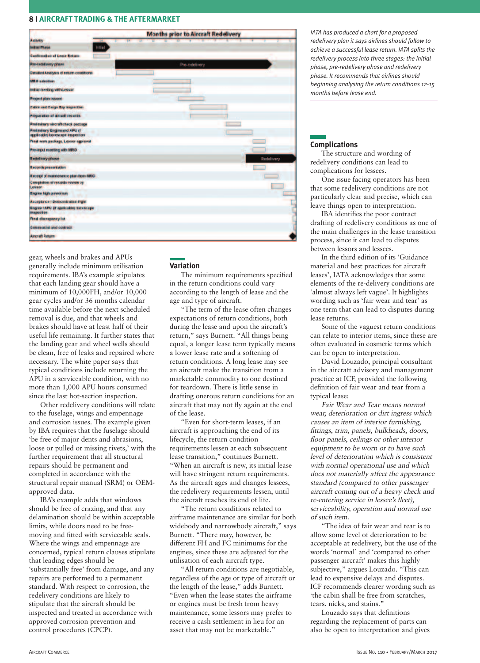

gear, wheels and brakes and APUs generally include minimum utilisation requirements. IBA's example stipulates that each landing gear should have a minimum of 10,000FH, and/or 10,000 gear cycles and/or 36 months calendar time available before the next scheduled removal is due, and that wheels and brakes should have at least half of their useful life remaining. It further states that the landing gear and wheel wells should be clean, free of leaks and repaired where necessary. The white paper says that typical conditions include returning the APU in a serviceable condition, with no more than 1,000 APU hours consumed since the last hot-section inspection.

Other redelivery conditions will relate to the fuselage, wings and empennage and corrosion issues. The example given by IBA requires that the fuselage should 'be free of major dents and abrasions, loose or pulled or missing rivets,' with the further requirement that all structural repairs should be permanent and completed in accordance with the structural repair manual (SRM) or OEMapproved data.

IBA's example adds that windows should be free of crazing, and that any delamination should be within acceptable limits, while doors need to be freemoving and fitted with serviceable seals. Where the wings and empennage are concerned, typical return clauses stipulate that leading edges should be 'substantially free' from damage, and any repairs are performed to a permanent standard. With respect to corrosion, the redelivery conditions are likely to stipulate that the aircraft should be inspected and treated in accordance with approved corrosion prevention and control procedures (CPCP).

## **Variation**

The minimum requirements specified in the return conditions could vary according to the length of lease and the age and type of aircraft.

"The term of the lease often changes expectations of return conditions, both during the lease and upon the aircraft's return," says Burnett. "All things being equal, a longer lease term typically means a lower lease rate and a softening of return conditions. A long lease may see an aircraft make the transition from a marketable commodity to one destined for teardown. There is little sense in drafting onerous return conditions for an aircraft that may not fly again at the end of the lease.

"Even for short-term leases, if an aircraft is approaching the end of its lifecycle, the return condition requirements lessen at each subsequent lease transition," continues Burnett. "When an aircraft is new, its initial lease will have stringent return requirements. As the aircraft ages and changes lessees, the redelivery requirements lessen, until the aircraft reaches its end of life.

"The return conditions related to airframe maintenance are similar for both widebody and narrowbody aircraft," says Burnett. "There may, however, be different FH and FC minimums for the engines, since these are adjusted for the utilisation of each aircraft type.

"All return conditions are negotiable, regardless of the age or type of aircraft or the length of the lease," adds Burnett. "Even when the lease states the airframe or engines must be fresh from heavy maintenance, some lessors may prefer to receive a cash settlement in lieu for an asset that may not be marketable."

*IATA has produced a chart for a proposed redelivery plan it says airlines should follow to achieve a successful lease return. IATA splits the redelivery process into three stages: the initial phase, pre-redelivery phase and redelivery phase. It recommends that airlines should beginning analysing the return conditions 12-15 months before lease end.*

## **Complications**

The structure and wording of redelivery conditions can lead to complications for lessees.

One issue facing operators has been that some redelivery conditions are not particularly clear and precise, which can leave things open to interpretation.

IBA identifies the poor contract drafting of redelivery conditions as one of the main challenges in the lease transition process, since it can lead to disputes between lessors and lessees.

In the third edition of its 'Guidance material and best practices for aircraft leases', IATA acknowledges that some elements of the re-delivery conditions are 'almost always left vague'. It highlights wording such as 'fair wear and tear' as one term that can lead to disputes during lease returns.

Some of the vaguest return conditions can relate to interior items, since these are often evaluated in cosmetic terms which can be open to interpretation.

David Louzado, principal consultant in the aircraft advisory and management practice at ICF, provided the following definition of fair wear and tear from a typical lease:

Fair Wear and Tear means normal wear, deterioration or dirt ingress which causes an item of interior furnishing, fittings, trim, panels, bulkheads, doors, floor panels, ceilings or other interior equipment to be worn or to have such level of deterioration which is consistent with normal operational use and which does not materially affect the appearance standard (compared to other passenger aircraft coming out of <sup>a</sup> heavy check and re-entering service in lessee's fleet), serviceability, operation and normal use of such item.

"The idea of fair wear and tear is to allow some level of deterioration to be acceptable at redelivery, but the use of the words 'normal' and 'compared to other passenger aircraft' makes this highly subjective," argues Louzado. "This can lead to expensive delays and disputes. ICF recommends clearer wording such as 'the cabin shall be free from scratches, tears, nicks, and stains."

Louzado says that definitions regarding the replacement of parts can also be open to interpretation and gives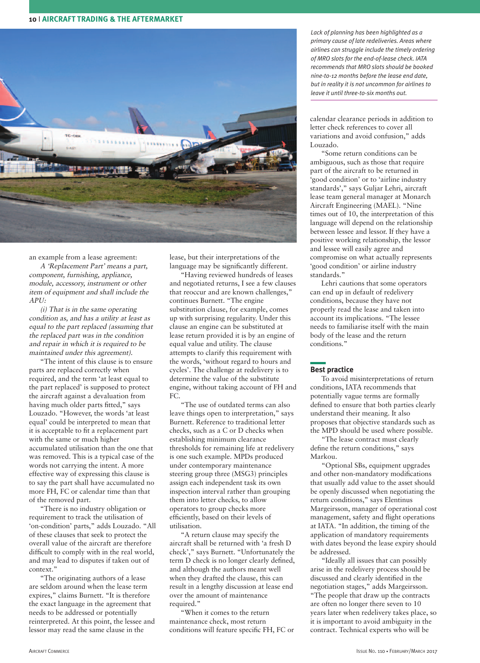

an example from a lease agreement:

A 'Replacement Part' means <sup>a</sup> part, component, furnishing, appliance, module, accessory, instrument or other item of equipment and shall include the  $APII$ 

(i) That is in the same operating condition as, and has <sup>a</sup> utility at least as equal to the part replaced (assuming that the replaced part was in the condition and repair in which it is required to be maintained under this agreement).

"The intent of this clause is to ensure parts are replaced correctly when required, and the term 'at least equal to the part replaced' is supposed to protect the aircraft against a devaluation from having much older parts fitted," says Louzado. "However, the words 'at least equal' could be interpreted to mean that it is acceptable to fit a replacement part with the same or much higher accumulated utilisation than the one that was removed. This is a typical case of the words not carrying the intent. A more effective way of expressing this clause is to say the part shall have accumulated no more FH, FC or calendar time than that of the removed part.

"There is no industry obligation or requirement to track the utilisation of 'on-condition' parts," adds Louzado. "All of these clauses that seek to protect the overall value of the aircraft are therefore difficult to comply with in the real world, and may lead to disputes if taken out of context."

"The originating authors of a lease are seldom around when the lease term expires," claims Burnett. "It is therefore the exact language in the agreement that needs to be addressed or potentially reinterpreted. At this point, the lessee and lessor may read the same clause in the

lease, but their interpretations of the language may be significantly different.

"Having reviewed hundreds of leases and negotiated returns, I see a few clauses that reoccur and are known challenges," continues Burnett. "The engine substitution clause, for example, comes up with surprising regularity. Under this clause an engine can be substituted at lease return provided it is by an engine of equal value and utility. The clause attempts to clarify this requirement with the words, 'without regard to hours and cycles'. The challenge at redelivery is to determine the value of the substitute engine, without taking account of FH and FC.

"The use of outdated terms can also leave things open to interpretation," says Burnett. Reference to traditional letter checks, such as a C or D checks when establishing minimum clearance thresholds for remaining life at redelivery is one such example. MPDs produced under contemporary maintenance steering group three (MSG3) principles assign each independent task its own inspection interval rather than grouping them into letter checks, to allow operators to group checks more efficiently, based on their levels of utilisation.

"A return clause may specify the aircraft shall be returned with 'a fresh D check'," says Burnett. "Unfortunately the term D check is no longer clearly defined, and although the authors meant well when they drafted the clause, this can result in a lengthy discussion at lease end over the amount of maintenance required."

"When it comes to the return maintenance check, most return conditions will feature specific FH, FC or *Lack of planning has been highlighted as a primary cause of late redeliveries. Areas where airlines can struggle include the timely ordering of MRO slots for the end-of-lease check. IATA recommends that MRO slots should be booked nine-to-12 months before the lease end date, but in reality it is not uncommon for airlines to leave it until three-to-six months out.*

calendar clearance periods in addition to letter check references to cover all variations and avoid confusion," adds Louzado.

"Some return conditions can be ambiguous, such as those that require part of the aircraft to be returned in 'good condition' or to 'airline industry standards'," says Guljar Lehri, aircraft lease team general manager at Monarch Aircraft Engineering (MAEL). "Nine times out of 10, the interpretation of this language will depend on the relationship between lessee and lessor. If they have a positive working relationship, the lessor and lessee will easily agree and compromise on what actually represents 'good condition' or airline industry standards."

Lehri cautions that some operators can end up in default of redelivery conditions, because they have not properly read the lease and taken into account its implications. "The lessee needs to familiarise itself with the main body of the lease and the return conditions."

## **Best practice**

To avoid misinterpretations of return conditions, IATA recommends that potentially vague terms are formally defined to ensure that both parties clearly understand their meaning. It also proposes that objective standards such as the MPD should be used where possible.

"The lease contract must clearly define the return conditions," says Markou.

"Optional SBs, equipment upgrades and other non-mandatory modifications that usually add value to the asset should be openly discussed when negotiating the return conditions," says Elentinus Margeirsson, manager of operational cost management, safety and flight operations at IATA. "In addition, the timing of the application of mandatory requirements with dates beyond the lease expiry should be addressed.

"Ideally all issues that can possibly arise in the redelivery process should be discussed and clearly identified in the negotiation stages," adds Margeirsson. "The people that draw up the contracts are often no longer there seven to 10 years later when redelivery takes place, so it is important to avoid ambiguity in the contract. Technical experts who will be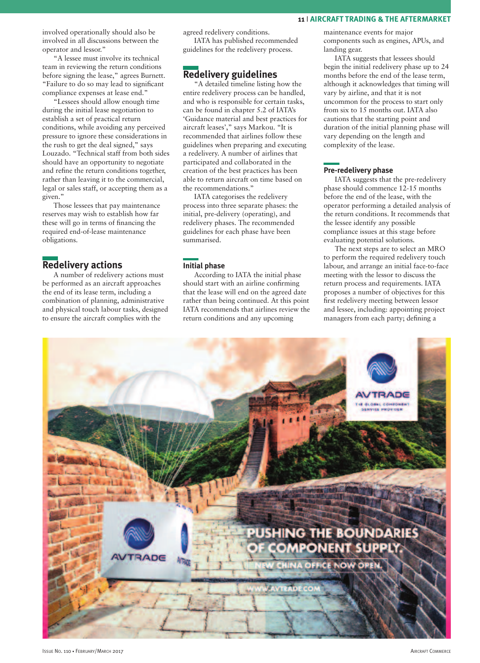involved operationally should also be involved in all discussions between the operator and lessor."

"A lessee must involve its technical team in reviewing the return conditions before signing the lease," agrees Burnett. "Failure to do so may lead to significant compliance expenses at lease end."

"Lessees should allow enough time during the initial lease negotiation to establish a set of practical return conditions, while avoiding any perceived pressure to ignore these considerations in the rush to get the deal signed," says Louzado. "Technical staff from both sides should have an opportunity to negotiate and refine the return conditions together, rather than leaving it to the commercial, legal or sales staff, or accepting them as a given."

Those lessees that pay maintenance reserves may wish to establish how far these will go in terms of financing the required end-of-lease maintenance obligations.

# **Redelivery actions**

A number of redelivery actions must be performed as an aircraft approaches the end of its lease term, including a combination of planning, administrative and physical touch labour tasks, designed to ensure the aircraft complies with the

agreed redelivery conditions.

IATA has published recommended guidelines for the redelivery process.

# **Redelivery guidelines**

"A detailed timeline listing how the entire redelivery process can be handled, and who is responsible for certain tasks, can be found in chapter 5.2 of IATA's 'Guidance material and best practices for aircraft leases'," says Markou. "It is recommended that airlines follow these guidelines when preparing and executing a redelivery. A number of airlines that participated and collaborated in the creation of the best practices has been able to return aircraft on time based on the recommendations."

IATA categorises the redelivery process into three separate phases: the initial, pre-delivery (operating), and redelivery phases. The recommended guidelines for each phase have been summarised.

## **Initial phase**

According to IATA the initial phase should start with an airline confirming that the lease will end on the agreed date rather than being continued. At this point IATA recommends that airlines review the return conditions and any upcoming

maintenance events for major components such as engines, APUs, and landing gear.

IATA suggests that lessees should begin the initial redelivery phase up to 24 months before the end of the lease term, although it acknowledges that timing will vary by airline, and that it is not uncommon for the process to start only from six to 15 months out. IATA also cautions that the starting point and duration of the initial planning phase will vary depending on the length and complexity of the lease.

## **Pre-redelivery phase**

IATA suggests that the pre-redelivery phase should commence 12-15 months before the end of the lease, with the operator performing a detailed analysis of the return conditions. It recommends that the lessee identify any possible compliance issues at this stage before evaluating potential solutions.

The next steps are to select an MRO to perform the required redelivery touch labour, and arrange an initial face-to-face meeting with the lessor to discuss the return process and requirements. IATA proposes a number of objectives for this first redelivery meeting between lessor and lessee, including: appointing project managers from each party; defining a

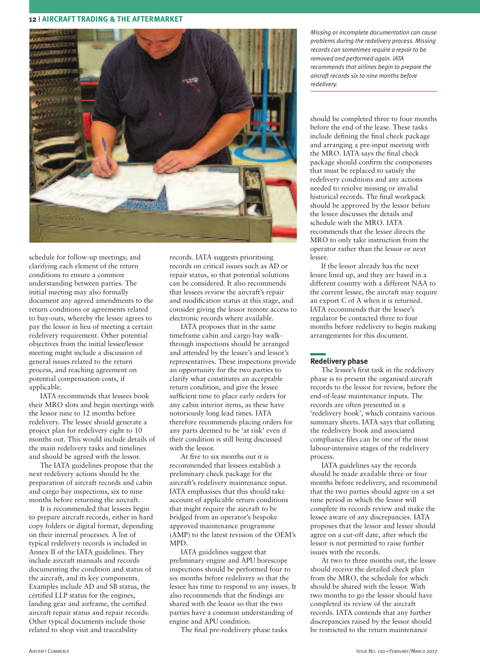

schedule for follow-up meetings; and clarifying each element of the return conditions to ensure a common understanding between parties. The initial meeting may also formally document any agreed amendments to the return conditions or agreements related to buy-outs, whereby the lessee agrees to pay the lessor in lieu of meeting a certain redelivery requirement. Other potential objectives from the initial lessee/lessor meeting might include a discussion of general issues related to the return process, and reaching agreement on potential compensation costs, if applicable.

IATA recommends that lessees book their MRO slots and begin meetings with the lessor nine to 12 months before redelivery. The lessee should generate a project plan for redelivery eight to 10 months out. This would include details of the main redelivery tasks and timelines and should be agreed with the lessor.

The IATA guidelines propose that the next redelivery actions should be the preparation of aircraft records and cabin and cargo bay inspections, six to nine months before returning the aircraft.

It is recommended that lessees begin to prepare aircraft records, either in hard copy folders or digital format, depending on their internal processes. A list of typical redelivery records is included in Annex II of the IATA guidelines. They include aircraft manuals and records documenting the condition and status of the aircraft, and its key components. Examples include AD and SB status, the certified LLP status for the engines, landing gear and airframe, the certified aircraft repair status and repair records. Other typical documents include those related to shop visit and traceability

records. IATA suggests prioritising records on critical issues such as AD or repair status, so that potential solutions can be considered. It also recommends that lessees review the aircraft's repair and modification status at this stage, and consider giving the lessor remote access to electronic records where available.

IATA proposes that in the same timeframe cabin and cargo bay walkthrough inspections should be arranged and attended by the lessee's and lessor's representatives. These inspections provide an opportunity for the two parties to clarify what constitutes an acceptable return condition, and give the lessee sufficient time to place early orders for any cabin interior items, as these have notoriously long lead times. IATA therefore recommends placing orders for any parts deemed to be 'at risk' even if their condition is still being discussed with the lessor.

At five to six months out it is recommended that lessees establish a preliminary check package for the aircraft's redelivery maintenance input. IATA emphasises that this should take account of applicable return conditions that might require the aircraft to be bridged from an operator's bespoke approved maintenance programme (AMP) to the latest revision of the OEM's MPD.

IATA guidelines suggest that preliminary engine and APU borescope inspections should be performed four to six months before redelivery so that the lessee has time to respond to any issues. It also recommends that the findings are shared with the lessor so that the two parties have a common understanding of engine and APU condition.

The final pre-redelivery phase tasks

*Missing or incomplete documentation can cause problems during the redelivery process. Missing records can sometimes require a repair to be removed and performed again. IATA recommends that airlines begin to prepare the aircraft records six to nine months before redelivery.*

should be completed three to four months before the end of the lease. These tasks include defining the final check package and arranging a pre-input meeting with the MRO. IATA says the final check package should confirm the components that must be replaced to satisfy the redelivery conditions and any actions needed to resolve missing or invalid historical records. The final workpack should be approved by the lessor before the lessee discusses the details and schedule with the MRO. IATA recommends that the lessee directs the MRO to only take instruction from the operator rather than the lessor or next lessee.

If the lessor already has the next lessee lined up, and they are based in a different country with a different NAA to the current lessee, the aircraft may require an export C of A when it is returned. IATA recommends that the lessee's regulator be contacted three to four months before redelivery to begin making arrangements for this document.

## **Redelivery phase**

The lessee's first task in the redelivery phase is to present the organised aircraft records to the lessor for review, before the end-of-lease maintenance inputs. The records are often presented in a 'redelivery book', which contains various summary sheets. IATA says that collating the redelivery book and associated compliance files can be one of the most labour-intensive stages of the redelivery process.

IATA guidelines say the records should be made available three or four months before redelivery, and recommend that the two parties should agree on a set time period in which the lessor will complete its records review and make the lessee aware of any discrepancies. IATA proposes that the lessor and lessee should agree on a cut-off date, after which the lessor is not permitted to raise further issues with the records.

At two to three months out, the lessee should receive the detailed check plan from the MRO, the schedule for which should be shared with the lessor. With two months to go the lessor should have completed its review of the aircraft records. IATA contends that any further discrepancies raised by the lessor should be restricted to the return maintenance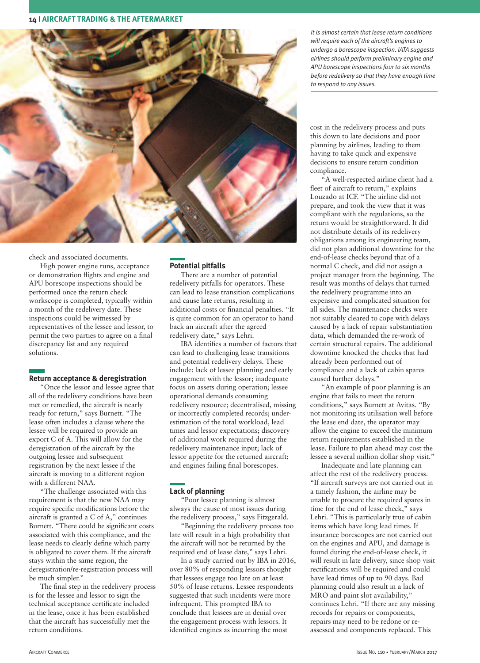

check and associated documents.

High power engine runs, acceptance or demonstration flights and engine and APU borescope inspections should be performed once the return check workscope is completed, typically within a month of the redelivery date. These inspections could be witnessed by representatives of the lessee and lessor, to permit the two parties to agree on a final discrepancy list and any required solutions.

## **Return acceptance & deregistration**

"Once the lessor and lessee agree that all of the redelivery conditions have been met or remedied, the aircraft is nearly ready for return," says Burnett. "The lease often includes a clause where the lessee will be required to provide an export C of A. This will allow for the deregistration of the aircraft by the outgoing lessee and subsequent registration by the next lessee if the aircraft is moving to a different region with a different NAA.

"The challenge associated with this requirement is that the new NAA may require specific modifications before the aircraft is granted a C of A," continues Burnett. "There could be significant costs associated with this compliance, and the lease needs to clearly define which party is obligated to cover them. If the aircraft stays within the same region, the deregistration/re-registration process will be much simpler."

The final step in the redelivery process is for the lessee and lessor to sign the technical acceptance certificate included in the lease, once it has been established that the aircraft has successfully met the return conditions.

## **Potential pitfalls**

There are a number of potential redelivery pitfalls for operators. These can lead to lease transition complications and cause late returns, resulting in additional costs or financial penalties. "It is quite common for an operator to hand back an aircraft after the agreed redelivery date," says Lehri.

IBA identifies a number of factors that can lead to challenging lease transitions and potential redelivery delays. These include: lack of lessee planning and early engagement with the lessor; inadequate focus on assets during operation; lessee operational demands consuming redelivery resource; decentralised, missing or incorrectly completed records; underestimation of the total workload, lead times and lessor expectations; discovery of additional work required during the redelivery maintenance input; lack of lessor appetite for the returned aircraft; and engines failing final borescopes.

## **Lack of planning**

"Poor lessee planning is almost always the cause of most issues during the redelivery process," says Fitzgerald.

"Beginning the redelivery process too late will result in a high probability that the aircraft will not be returned by the required end of lease date," says Lehri.

In a study carried out by IBA in 2016, over 80% of responding lessors thought that lessees engage too late on at least 50% of lease returns. Lessee respondents suggested that such incidents were more infrequent. This prompted IBA to conclude that lessees are in denial over the engagement process with lessors. It identified engines as incurring the most

*It is almost certain that lease return conditions will require each of the aircraft's engines to undergo a borescope inspection. IATA suggests airlines should perform preliminary engine and APU borescope inspections four to six months before redelivery so that they have enough time to respond to any issues.*

cost in the redelivery process and puts this down to late decisions and poor planning by airlines, leading to them having to take quick and expensive decisions to ensure return condition compliance.

"A well-respected airline client had a fleet of aircraft to return," explains Louzado at ICF. "The airline did not prepare, and took the view that it was compliant with the regulations, so the return would be straightforward. It did not distribute details of its redelivery obligations among its engineering team, did not plan additional downtime for the end-of-lease checks beyond that of a normal C check, and did not assign a project manager from the beginning. The result was months of delays that turned the redelivery programme into an expensive and complicated situation for all sides. The maintenance checks were not suitably cleared to cope with delays caused by a lack of repair substantiation data, which demanded the re-work of certain structural repairs. The additional downtime knocked the checks that had already been performed out of compliance and a lack of cabin spares caused further delays."

"An example of poor planning is an engine that fails to meet the return conditions," says Burnett at Avitas. "By not monitoring its utilisation well before the lease end date, the operator may allow the engine to exceed the minimum return requirements established in the lease. Failure to plan ahead may cost the lessee a several million dollar shop visit."

Inadequate and late planning can affect the rest of the redelivery process. "If aircraft surveys are not carried out in a timely fashion, the airline may be unable to procure the required spares in time for the end of lease check," says Lehri. "This is particularly true of cabin items which have long lead times. If insurance borescopes are not carried out on the engines and APU, and damage is found during the end-of-lease check, it will result in late delivery, since shop visit rectifications will be required and could have lead times of up to 90 days. Bad planning could also result in a lack of MRO and paint slot availability," continues Lehri. "If there are any missing records for repairs or components, repairs may need to be redone or reassessed and components replaced. This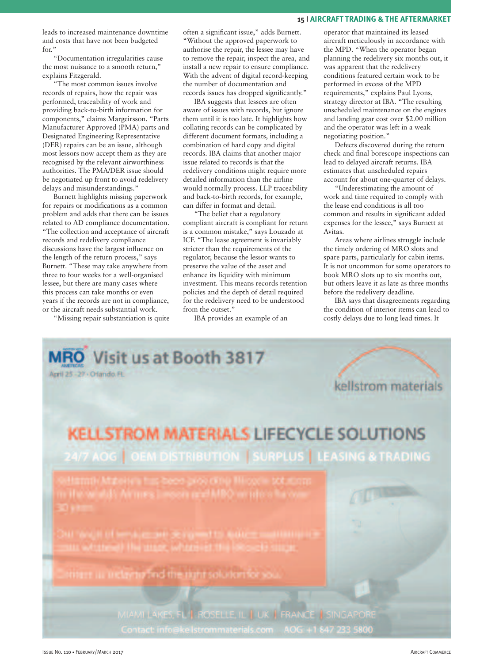leads to increased maintenance downtime and costs that have not been budgeted for."

"Documentation irregularities cause the most nuisance to a smooth return," explains Fitzgerald.

"The most common issues involve records of repairs, how the repair was performed, traceability of work and providing back-to-birth information for components," claims Margeirsson. "Parts Manufacturer Approved (PMA) parts and Designated Engineering Representative (DER) repairs can be an issue, although most lessors now accept them as they are recognised by the relevant airworthiness authorities. The PMA/DER issue should be negotiated up front to avoid redelivery delays and misunderstandings."

Burnett highlights missing paperwork for repairs or modifications as a common problem and adds that there can be issues related to AD compliance documentation. "The collection and acceptance of aircraft records and redelivery compliance discussions have the largest influence on the length of the return process," says Burnett. "These may take anywhere from three to four weeks for a well-organised lessee, but there are many cases where this process can take months or even years if the records are not in compliance, or the aircraft needs substantial work.

"Missing repair substantiation is quite

often a significant issue," adds Burnett. "Without the approved paperwork to authorise the repair, the lessee may have to remove the repair, inspect the area, and install a new repair to ensure compliance. With the advent of digital record-keeping the number of documentation and records issues has dropped significantly."

IBA suggests that lessees are often aware of issues with records, but ignore them until it is too late. It highlights how collating records can be complicated by different document formats, including a combination of hard copy and digital records. IBA claims that another major issue related to records is that the redelivery conditions might require more detailed information than the airline would normally process. LLP traceability and back-to-birth records, for example, can differ in format and detail.

"The belief that a regulatory compliant aircraft is compliant for return is a common mistake," says Louzado at ICF. "The lease agreement is invariably stricter than the requirements of the regulator, because the lessor wants to preserve the value of the asset and enhance its liquidity with minimum investment. This means records retention policies and the depth of detail required for the redelivery need to be understood from the outset."

IBA provides an example of an

operator that maintained its leased aircraft meticulously in accordance with the MPD. "When the operator began planning the redelivery six months out, it was apparent that the redelivery conditions featured certain work to be performed in excess of the MPD requirements," explains Paul Lyons, strategy director at IBA. "The resulting unscheduled maintenance on the engines and landing gear cost over \$2.00 million and the operator was left in a weak negotiating position."

Defects discovered during the return check and final borescope inspections can lead to delayed aircraft returns. IBA estimates that unscheduled repairs account for about one-quarter of delays.

"Underestimating the amount of work and time required to comply with the lease end conditions is all too common and results in significant added expenses for the lessee," says Burnett at Avitas.

Areas where airlines struggle include the timely ordering of MRO slots and spare parts, particularly for cabin items. It is not uncommon for some operators to book MRO slots up to six months out, but others leave it as late as three months before the redelivery deadline.

IBA says that disagreements regarding the condition of interior items can lead to costly delays due to long lead times. It

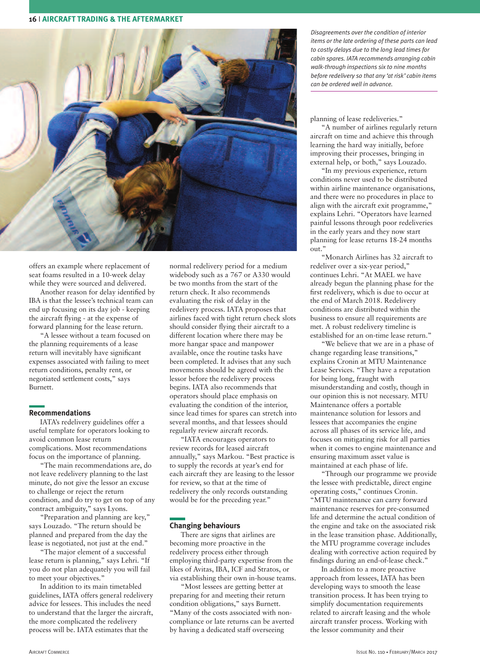

offers an example where replacement of seat foams resulted in a 10-week delay while they were sourced and delivered.

Another reason for delay identified by IBA is that the lessee's technical team can end up focusing on its day job - keeping the aircraft flying - at the expense of forward planning for the lease return.

"A lessee without a team focused on the planning requirements of a lease return will inevitably have significant expenses associated with failing to meet return conditions, penalty rent, or negotiated settlement costs," says Burnett.

#### **Recommendations**

IATA's redelivery guidelines offer a useful template for operators looking to avoid common lease return complications. Most recommendations focus on the importance of planning.

"The main recommendations are, do not leave redelivery planning to the last minute, do not give the lessor an excuse to challenge or reject the return condition, and do try to get on top of any contract ambiguity," says Lyons.

"Preparation and planning are key," says Louzado. "The return should be planned and prepared from the day the lease is negotiated, not just at the end."

"The major element of a successful lease return is planning," says Lehri. "If you do not plan adequately you will fail to meet your objectives."

In addition to its main timetabled guidelines, IATA offers general redelivery advice for lessees. This includes the need to understand that the larger the aircraft, the more complicated the redelivery process will be. IATA estimates that the

normal redelivery period for a medium widebody such as a 767 or A330 would be two months from the start of the return check. It also recommends evaluating the risk of delay in the redelivery process. IATA proposes that airlines faced with tight return check slots should consider flying their aircraft to a different location where there may be more hangar space and manpower available, once the routine tasks have been completed. It advises that any such movements should be agreed with the lessor before the redelivery process begins. IATA also recommends that operators should place emphasis on evaluating the condition of the interior, since lead times for spares can stretch into several months, and that lessees should regularly review aircraft records.

"IATA encourages operators to review records for leased aircraft annually," says Markou. "Best practice is to supply the records at year's end for each aircraft they are leasing to the lessor for review, so that at the time of redelivery the only records outstanding would be for the preceding year."

#### **Changing behaviours**

There are signs that airlines are becoming more proactive in the redelivery process either through employing third-party expertise from the likes of Avitas, IBA, ICF and Stratos, or via establishing their own in-house teams.

"Most lessees are getting better at preparing for and meeting their return condition obligations," says Burnett. "Many of the costs associated with noncompliance or late returns can be averted by having a dedicated staff overseeing

*Disagreements over the condition of interior items or the late ordering of these parts can lead to costly delays due to the long lead times for cabin spares. IATA recommends arranging cabin walk-through inspections six to nine months before redelivery so that any 'at risk' cabin items can be ordered well in advance.*

#### planning of lease redeliveries."

"A number of airlines regularly return aircraft on time and achieve this through learning the hard way initially, before improving their processes, bringing in external help, or both," says Louzado.

"In my previous experience, return conditions never used to be distributed within airline maintenance organisations, and there were no procedures in place to align with the aircraft exit programme," explains Lehri. "Operators have learned painful lessons through poor redeliveries in the early years and they now start planning for lease returns 18-24 months out."

"Monarch Airlines has 32 aircraft to redeliver over a six-year period," continues Lehri. "At MAEL we have already begun the planning phase for the first redelivery, which is due to occur at the end of March 2018. Redelivery conditions are distributed within the business to ensure all requirements are met. A robust redelivery timeline is established for an on-time lease return."

"We believe that we are in a phase of change regarding lease transitions," explains Cronin at MTU Maintenance Lease Services. "They have a reputation for being long, fraught with misunderstanding and costly, though in our opinion this is not necessary. MTU Maintenance offers a portable maintenance solution for lessors and lessees that accompanies the engine across all phases of its service life, and focuses on mitigating risk for all parties when it comes to engine maintenance and ensuring maximum asset value is maintained at each phase of life.

"Through our programme we provide the lessee with predictable, direct engine operating costs," continues Cronin. "MTU maintenance can carry forward maintenance reserves for pre-consumed life and determine the actual condition of the engine and take on the associated risk in the lease transition phase. Additionally, the MTU programme coverage includes dealing with corrective action required by findings during an end-of-lease check."

In addition to a more proactive approach from lessees, IATA has been developing ways to smooth the lease transition process. It has been trying to simplify documentation requirements related to aircraft leasing and the whole aircraft transfer process. Working with the lessor community and their